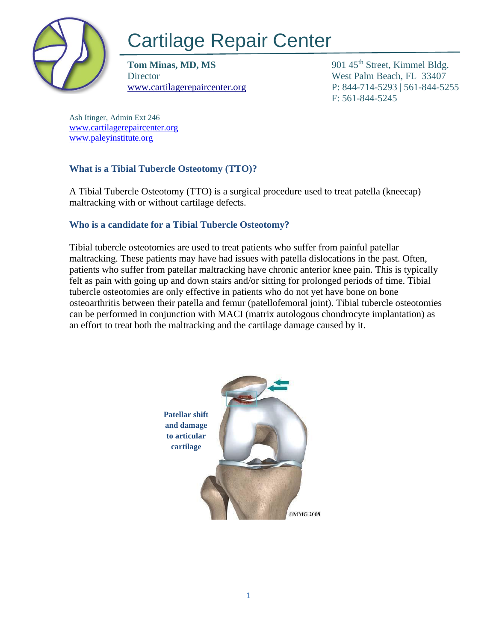

# Cartilage Repair Center

**Tom Minas, MD, MS** 901 45<sup>th</sup> Street, Kimmel Bldg. Director West Palm Beach, FL 33407

[www.cartilagerepaircenter.org](http://www.cartilagerepaircenter.org/) P: 844-714-5293 | 561-844-5255 F: 561-844-5245

Ash Itinger, Admin Ext 246 [www.cartilagerepaircenter.org](about:blank) [www.paleyinstitute.org](about:blank)

## **What is a Tibial Tubercle Osteotomy (TTO)?**

A Tibial Tubercle Osteotomy (TTO) is a surgical procedure used to treat patella (kneecap) maltracking with or without cartilage defects.

## **Who is a candidate for a Tibial Tubercle Osteotomy?**

Tibial tubercle osteotomies are used to treat patients who suffer from painful patellar maltracking. These patients may have had issues with patella dislocations in the past. Often, patients who suffer from patellar maltracking have chronic anterior knee pain. This is typically felt as pain with going up and down stairs and/or sitting for prolonged periods of time. Tibial tubercle osteotomies are only effective in patients who do not yet have bone on bone osteoarthritis between their patella and femur (patellofemoral joint). Tibial tubercle osteotomies can be performed in conjunction with MACI (matrix autologous chondrocyte implantation) as an effort to treat both the maltracking and the cartilage damage caused by it.

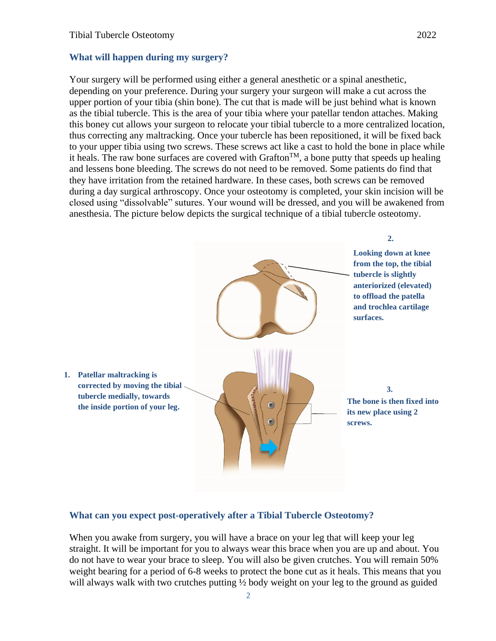#### **What will happen during my surgery?**

Your surgery will be performed using either a general anesthetic or a spinal anesthetic, depending on your preference. During your surgery your surgeon will make a cut across the upper portion of your tibia (shin bone). The cut that is made will be just behind what is known as the tibial tubercle. This is the area of your tibia where your patellar tendon attaches. Making this boney cut allows your surgeon to relocate your tibial tubercle to a more centralized location, thus correcting any maltracking. Once your tubercle has been repositioned, it will be fixed back to your upper tibia using two screws. These screws act like a cast to hold the bone in place while it heals. The raw bone surfaces are covered with Grafton<sup>TM</sup>, a bone putty that speeds up healing and lessens bone bleeding. The screws do not need to be removed. Some patients do find that they have irritation from the retained hardware. In these cases, both screws can be removed during a day surgical arthroscopy. Once your osteotomy is completed, your skin incision will be closed using "dissolvable" sutures. Your wound will be dressed, and you will be awakened from anesthesia. The picture below depicts the surgical technique of a tibial tubercle osteotomy.



#### **What can you expect post-operatively after a Tibial Tubercle Osteotomy?**

When you awake from surgery, you will have a brace on your leg that will keep your leg straight. It will be important for you to always wear this brace when you are up and about. You do not have to wear your brace to sleep. You will also be given crutches. You will remain 50% weight bearing for a period of 6-8 weeks to protect the bone cut as it heals. This means that you will always walk with two crutches putting  $\frac{1}{2}$  body weight on your leg to the ground as guided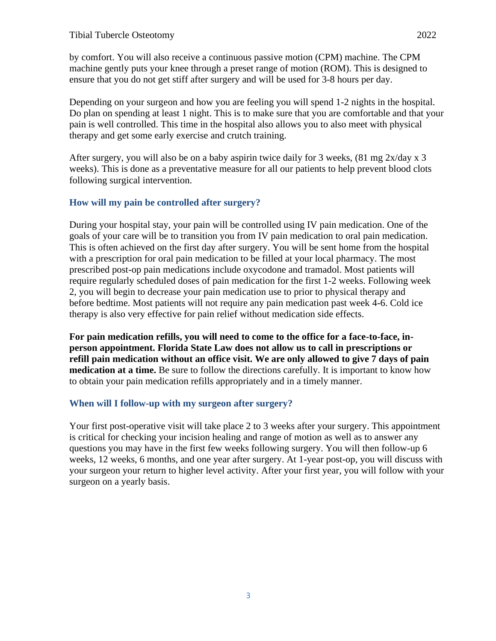by comfort. You will also receive a continuous passive motion (CPM) machine. The CPM machine gently puts your knee through a preset range of motion (ROM). This is designed to ensure that you do not get stiff after surgery and will be used for 3-8 hours per day.

Depending on your surgeon and how you are feeling you will spend 1-2 nights in the hospital. Do plan on spending at least 1 night. This is to make sure that you are comfortable and that your pain is well controlled. This time in the hospital also allows you to also meet with physical therapy and get some early exercise and crutch training.

After surgery, you will also be on a baby aspirin twice daily for 3 weeks,  $(81 \text{ mg } 2x/\text{day } x \text{ 3})$ weeks). This is done as a preventative measure for all our patients to help prevent blood clots following surgical intervention.

### **How will my pain be controlled after surgery?**

During your hospital stay, your pain will be controlled using IV pain medication. One of the goals of your care will be to transition you from IV pain medication to oral pain medication. This is often achieved on the first day after surgery. You will be sent home from the hospital with a prescription for oral pain medication to be filled at your local pharmacy. The most prescribed post-op pain medications include oxycodone and tramadol. Most patients will require regularly scheduled doses of pain medication for the first 1-2 weeks. Following week 2, you will begin to decrease your pain medication use to prior to physical therapy and before bedtime. Most patients will not require any pain medication past week 4-6. Cold ice therapy is also very effective for pain relief without medication side effects.

**For pain medication refills, you will need to come to the office for a face-to-face, inperson appointment. Florida State Law does not allow us to call in prescriptions or refill pain medication without an office visit. We are only allowed to give 7 days of pain medication at a time.** Be sure to follow the directions carefully. It is important to know how to obtain your pain medication refills appropriately and in a timely manner.

## **When will I follow-up with my surgeon after surgery?**

Your first post-operative visit will take place 2 to 3 weeks after your surgery. This appointment is critical for checking your incision healing and range of motion as well as to answer any questions you may have in the first few weeks following surgery. You will then follow-up 6 weeks, 12 weeks, 6 months, and one year after surgery. At 1-year post-op, you will discuss with your surgeon your return to higher level activity. After your first year, you will follow with your surgeon on a yearly basis.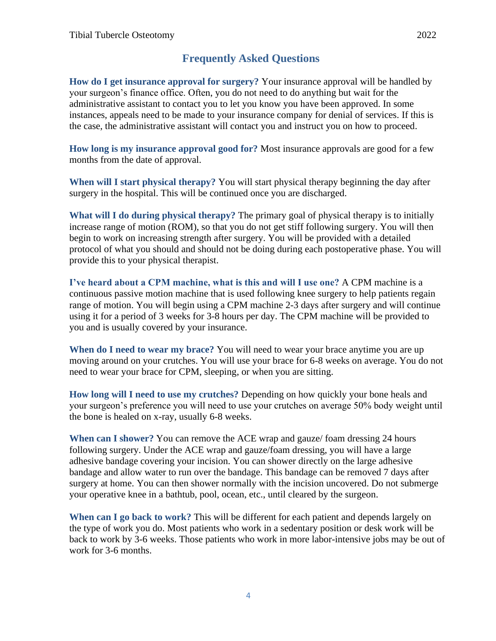## **Frequently Asked Questions**

**How do I get insurance approval for surgery?** Your insurance approval will be handled by your surgeon's finance office. Often, you do not need to do anything but wait for the administrative assistant to contact you to let you know you have been approved. In some instances, appeals need to be made to your insurance company for denial of services. If this is the case, the administrative assistant will contact you and instruct you on how to proceed.

**How long is my insurance approval good for?** Most insurance approvals are good for a few months from the date of approval.

**When will I start physical therapy?** You will start physical therapy beginning the day after surgery in the hospital. This will be continued once you are discharged.

**What will I do during physical therapy?** The primary goal of physical therapy is to initially increase range of motion (ROM), so that you do not get stiff following surgery. You will then begin to work on increasing strength after surgery. You will be provided with a detailed protocol of what you should and should not be doing during each postoperative phase. You will provide this to your physical therapist.

**I've heard about a CPM machine, what is this and will I use one?** A CPM machine is a continuous passive motion machine that is used following knee surgery to help patients regain range of motion. You will begin using a CPM machine 2-3 days after surgery and will continue using it for a period of 3 weeks for 3-8 hours per day. The CPM machine will be provided to you and is usually covered by your insurance.

**When do I need to wear my brace?** You will need to wear your brace anytime you are up moving around on your crutches. You will use your brace for 6-8 weeks on average. You do not need to wear your brace for CPM, sleeping, or when you are sitting.

**How long will I need to use my crutches?** Depending on how quickly your bone heals and your surgeon's preference you will need to use your crutches on average 50% body weight until the bone is healed on x-ray, usually 6-8 weeks.

**When can I shower?** You can remove the ACE wrap and gauze/ foam dressing 24 hours following surgery. Under the ACE wrap and gauze/foam dressing, you will have a large adhesive bandage covering your incision. You can shower directly on the large adhesive bandage and allow water to run over the bandage. This bandage can be removed 7 days after surgery at home. You can then shower normally with the incision uncovered. Do not submerge your operative knee in a bathtub, pool, ocean, etc., until cleared by the surgeon.

**When can I go back to work?** This will be different for each patient and depends largely on the type of work you do. Most patients who work in a sedentary position or desk work will be back to work by 3-6 weeks. Those patients who work in more labor-intensive jobs may be out of work for 3-6 months.